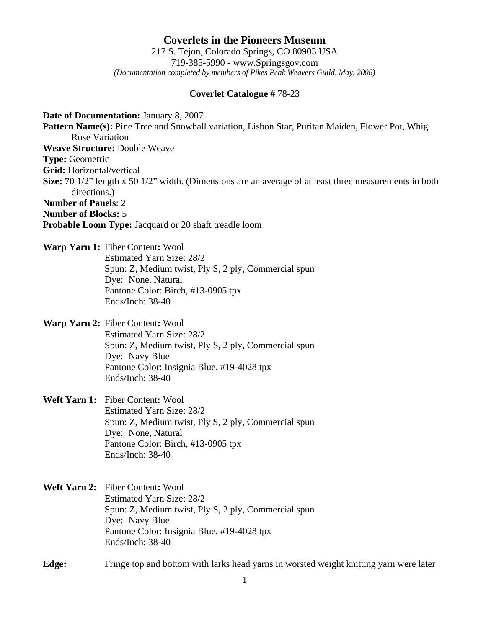**Coverlets in the Pioneers Museum** 217 S. Tejon, Colorado Springs, CO 80903 USA 719-385-5990 - www.Springsgov.com *(Documentation completed by members of Pikes Peak Weavers Guild, May, 2008)* 

## **Coverlet Catalogue #** 78-23

**Date of Documentation:** January 8, 2007 Pattern Name(s): Pine Tree and Snowball variation, Lisbon Star, Puritan Maiden, Flower Pot, Whig Rose Variation **Weave Structure:** Double Weave **Type:** Geometric **Grid:** Horizontal/vertical **Size:** 70 1/2" length x 50 1/2" width. (Dimensions are an average of at least three measurements in both directions.) **Number of Panels**: 2 **Number of Blocks:** 5 **Probable Loom Type:** Jacquard or 20 shaft treadle loom

**Warp Yarn 1:** Fiber Content**:** Wool Estimated Yarn Size: 28/2 Spun: Z, Medium twist, Ply S, 2 ply, Commercial spun Dye: None, Natural Pantone Color: Birch, #13-0905 tpx Ends/Inch: 38-40

**Warp Yarn 2:** Fiber Content**:** Wool Estimated Yarn Size: 28/2 Spun: Z, Medium twist, Ply S, 2 ply, Commercial spun Dye: Navy Blue Pantone Color: Insignia Blue, #19-4028 tpx Ends/Inch: 38-40

**Weft Yarn 1:** Fiber Content**:** Wool Estimated Yarn Size: 28/2 Spun: Z, Medium twist, Ply S, 2 ply, Commercial spun Dye: None, Natural Pantone Color: Birch, #13-0905 tpx Ends/Inch: 38-40

**Weft Yarn 2:** Fiber Content**:** Wool Estimated Yarn Size: 28/2 Spun: Z, Medium twist, Ply S, 2 ply, Commercial spun Dye: Navy Blue Pantone Color: Insignia Blue, #19-4028 tpx Ends/Inch: 38-40

**Edge:** Fringe top and bottom with larks head yarns in worsted weight knitting yarn were later